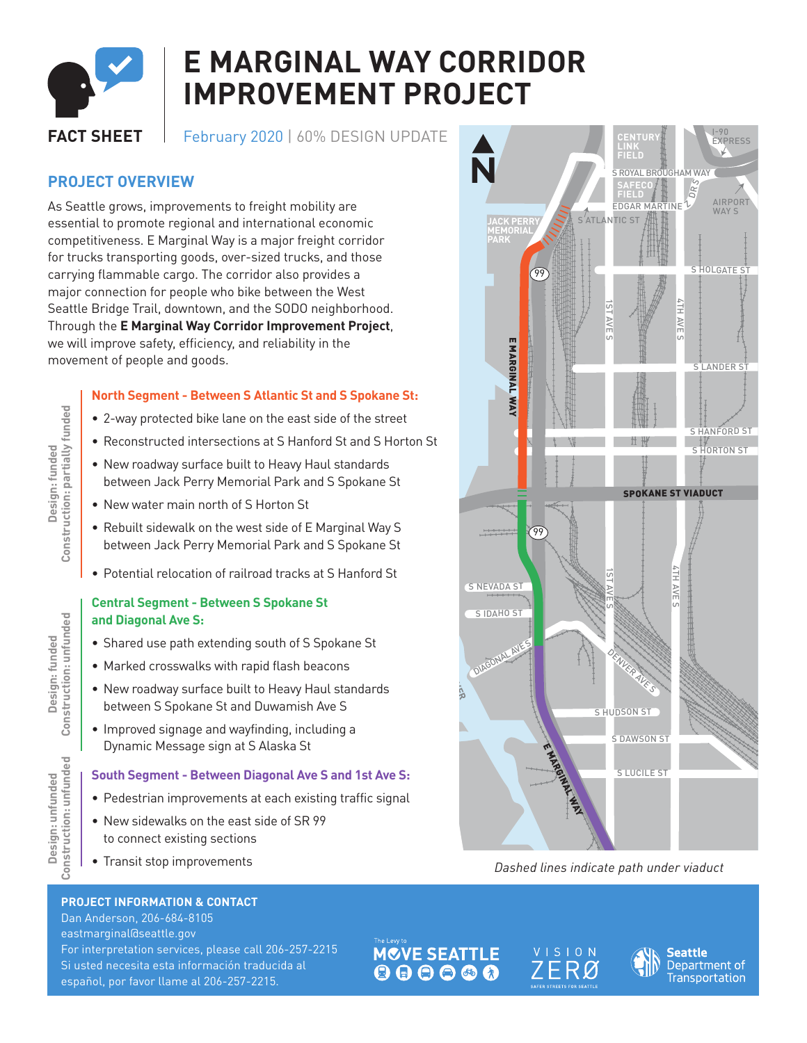

## **E MARGINAL WAY CORRIDOR IMPROVEMENT PROJECT**

**FACT SHEET** February 2020 | 60% DESIGN UPDATE

## **PROJECT OVERVIEW**

As Seattle grows, improvements to freight mobility are essential to promote regional and international economic competitiveness. E Marginal Way is a major freight corridor for trucks transporting goods, over-sized trucks, and those carrying flammable cargo. The corridor also provides a major connection for people who bike between the West Seattle Bridge Trail, downtown, and the SODO neighborhood. Through the **E Marginal Way Corridor Improvement Project**, we will improve safety, efficiency, and reliability in the movement of people and goods.

#### **North Segment - Between S Atlantic St and S Spokane St:**

- 2-way protected bike lane on the east side of the street
- Reconstructed intersections at S Hanford St and S Horton St
- New roadway surface built to Heavy Haul standards between Jack Perry Memorial Park and S Spokane St
- New water main north of S Horton St
- Rebuilt sidewalk on the west side of E Marginal Way S between Jack Perry Memorial Park and S Spokane St
- Potential relocation of railroad tracks at S Hanford St

#### **Central Segment - Between S Spokane St and Diagonal Ave S:**

- Shared use path extending south of S Spokane St
- Marked crosswalks with rapid flash beacons
- New roadway surface built to Heavy Haul standards between S Spokane St and Duwamish Ave S
- Improved signage and wayfinding, including a Dynamic Message sign at S Alaska St

# **South Segment - Between Diagonal Ave S and 1st Ave S:** S:<br>al

- Pedestrian improvements at each existing traffic signal
- New sidewalks on the east side of SR 99 to connect existing sections
- Transit stop improvements

#### **PROJECT INFORMATION & CONTACT**

Dan Anderson, 206-684-8105 eastmarginal@seattle.gov For interpretation services, please call 206-257-2215 Si usted necesita esta información traducida al español, por favor llame al 206-257-2215.

I-90 EXPRESS **CENTURY LINK FIELD** N S 1ST AVE S S ROYAL BROUGHAM WAY DRS **SAFECO** EDGAR MARTINE Z **FIELD** AIRPORT WAY<sup>C</sup> SATLANTIC ST **JACK PERRY MEMORIAL PARK S** HOLGATE S 99 4TH AVE E MARGINAL WAY U) E MARGINAL WAY S LANDER ST S HANFORD ST S HORTON ST SPOKANE ST VIADUCT 99 4TH AVE m S NEVADA ST  $\overline{\phantom{0}}$ AVm m S IDAHO ST **DUWAMISH RIVER** DIAGONAL AVE S DENVER AVE S S HUDSON ST S DAWSON ST E MARGINAL WAY S LUCILE ST

> <sup>M</sup>ICHIGA<sup>N</sup> <sup>S</sup><sup>T</sup> 1*Dashed lines indicate path under viaduct* T

**MOVE SEATTLE** 





Design: funded<br>Construction: partially funded **Construction: partially funded Design: funded**

Design: funded<br>Construction: unfunded **Construction: unfunded Design: funded**

Design: unfunded<br>Construction: unfunded **Construction: unfundedDesign: unfunded**